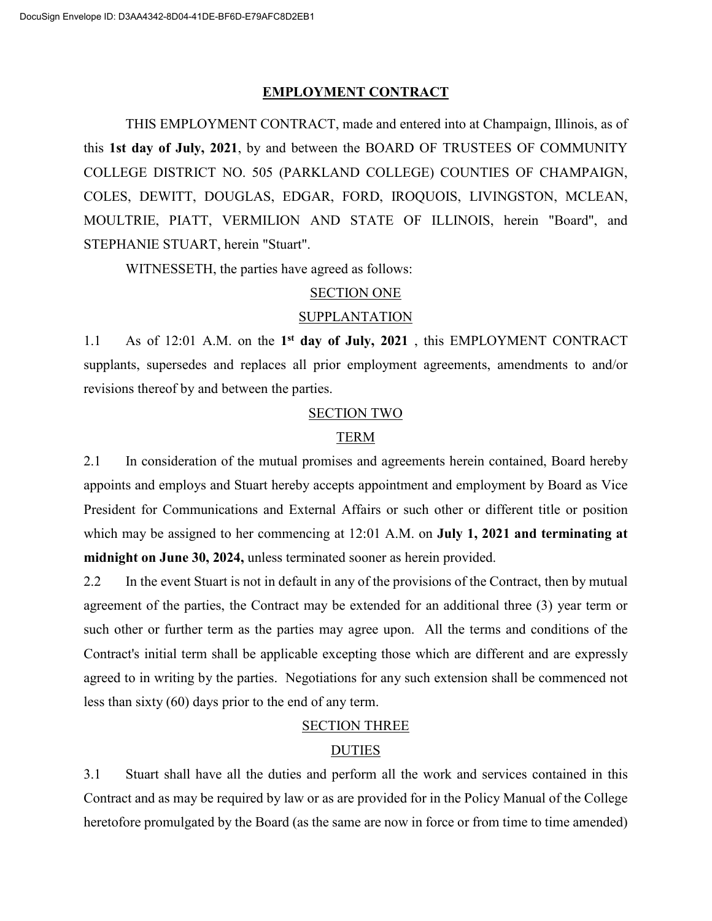### **EMPLOYMENT CONTRACT**

THIS EMPLOYMENT CONTRACT, made and entered into at Champaign, Illinois, as of this **1st day of July, 2021**, by and between the BOARD OF TRUSTEES OF COMMUNITY COLLEGE DISTRICT NO. 505 (PARKLAND COLLEGE) COUNTIES OF CHAMPAIGN, COLES, DEWITT, DOUGLAS, EDGAR, FORD, IROQUOIS, LIVINGSTON, MCLEAN, MOULTRIE, PIATT, VERMILION AND STATE OF ILLINOIS, herein "Board", and STEPHANIE STUART, herein "Stuart".

WITNESSETH, the parties have agreed as follows:

## SECTION ONE

### SUPPLANTATION

1.1 As of 12:01 A.M. on the **1st day of July, 2021** , this EMPLOYMENT CONTRACT supplants, supersedes and replaces all prior employment agreements, amendments to and/or revisions thereof by and between the parties.

### SECTION TWO

## TERM

2.1 In consideration of the mutual promises and agreements herein contained, Board hereby appoints and employs and Stuart hereby accepts appointment and employment by Board as Vice President for Communications and External Affairs or such other or different title or position which may be assigned to her commencing at 12:01 A.M. on **July 1, 2021 and terminating at midnight on June 30, 2024,** unless terminated sooner as herein provided.

2.2 In the event Stuart is not in default in any of the provisions of the Contract, then by mutual agreement of the parties, the Contract may be extended for an additional three (3) year term or such other or further term as the parties may agree upon. All the terms and conditions of the Contract's initial term shall be applicable excepting those which are different and are expressly agreed to in writing by the parties. Negotiations for any such extension shall be commenced not less than sixty (60) days prior to the end of any term.

## SECTION THREE

## **DUTIES**

3.1 Stuart shall have all the duties and perform all the work and services contained in this Contract and as may be required by law or as are provided for in the Policy Manual of the College heretofore promulgated by the Board (as the same are now in force or from time to time amended)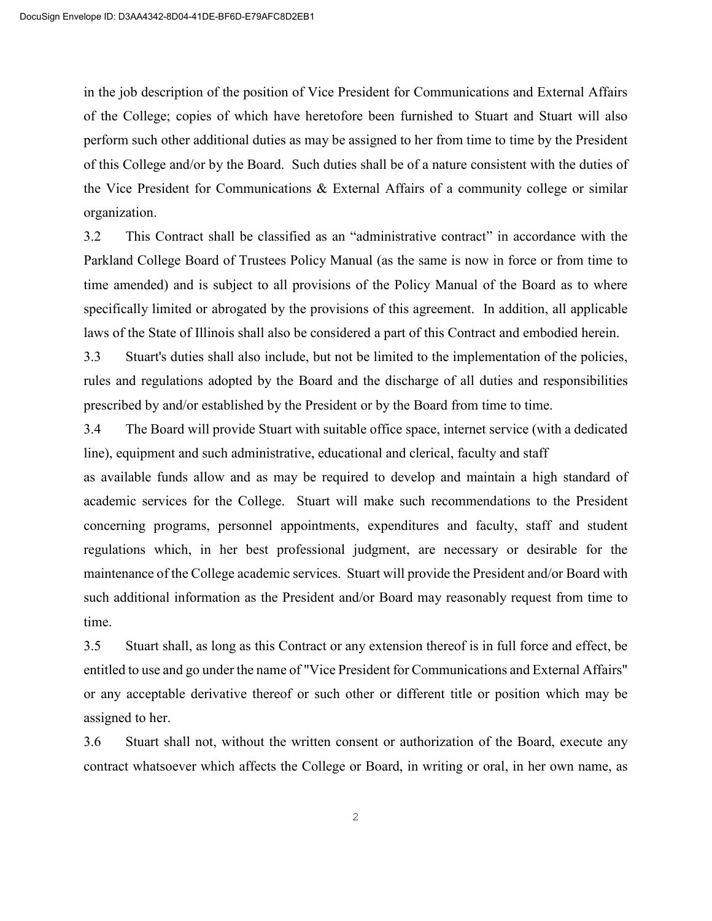in the job description of the position of Vice President for Communications and External Affairs of the College; copies of which have heretofore been furnished to Stuart and Stuart will also perform such other additional duties as may be assigned to her from time to time by the President of this College and/or by the Board. Such duties shall be of a nature consistent with the duties of the Vice President for Communications & External Affairs of a community college or similar organization.

3.2 This Contract shall be classified as an "administrative contract" in accordance with the Parkland College Board of Trustees Policy Manual (as the same is now in force or from time to time amended) and is subject to all provisions of the Policy Manual of the Board as to where specifically limited or abrogated by the provisions of this agreement. In addition, all applicable laws of the State of Illinois shall also be considered a part of this Contract and embodied herein.

3.3 Stuart's duties shall also include, but not be limited to the implementation of the policies, rules and regulations adopted by the Board and the discharge of all duties and responsibilities prescribed by and/or established by the President or by the Board from time to time.

3.4 The Board will provide Stuart with suitable office space, internet service (with a dedicated line), equipment and such administrative, educational and clerical, faculty and staff

as available funds allow and as may be required to develop and maintain a high standard of academic services for the College. Stuart will make such recommendations to the President concerning programs, personnel appointments, expenditures and faculty, staff and student regulations which, in her best professional judgment, are necessary or desirable for the maintenance of the College academic services. Stuart will provide the President and/or Board with such additional information as the President and/or Board may reasonably request from time to time.

3.5 Stuart shall, as long as this Contract or any extension thereof is in full force and effect, be entitled to use and go under the name of "Vice President for Communications and External Affairs" or any acceptable derivative thereof or such other or different title or position which may be assigned to her.

3.6 Stuart shall not, without the written consent or authorization of the Board, execute any contract whatsoever which affects the College or Board, in writing or oral, in her own name, as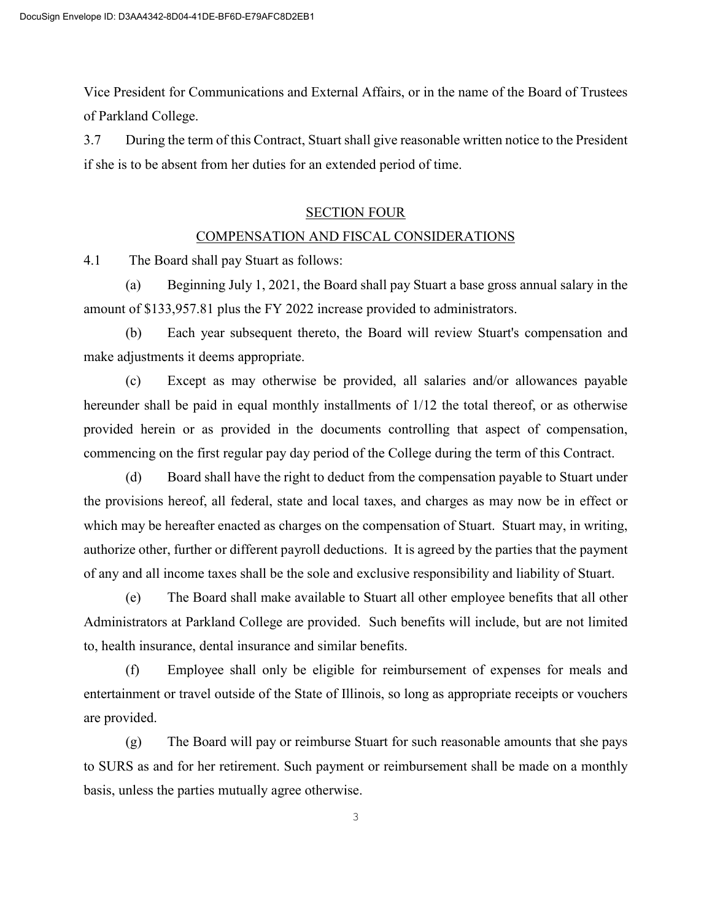Vice President for Communications and External Affairs, or in the name of the Board of Trustees of Parkland College.

3.7 During the term of this Contract, Stuart shall give reasonable written notice to the President if she is to be absent from her duties for an extended period of time.

## SECTION FOUR

## COMPENSATION AND FISCAL CONSIDERATIONS

4.1 The Board shall pay Stuart as follows:

(a) Beginning July 1, 2021, the Board shall pay Stuart a base gross annual salary in the amount of \$133,957.81 plus the FY 2022 increase provided to administrators.

(b) Each year subsequent thereto, the Board will review Stuart's compensation and make adjustments it deems appropriate.

(c) Except as may otherwise be provided, all salaries and/or allowances payable hereunder shall be paid in equal monthly installments of 1/12 the total thereof, or as otherwise provided herein or as provided in the documents controlling that aspect of compensation, commencing on the first regular pay day period of the College during the term of this Contract.

(d) Board shall have the right to deduct from the compensation payable to Stuart under the provisions hereof, all federal, state and local taxes, and charges as may now be in effect or which may be hereafter enacted as charges on the compensation of Stuart. Stuart may, in writing, authorize other, further or different payroll deductions. It is agreed by the parties that the payment of any and all income taxes shall be the sole and exclusive responsibility and liability of Stuart.

(e) The Board shall make available to Stuart all other employee benefits that all other Administrators at Parkland College are provided. Such benefits will include, but are not limited to, health insurance, dental insurance and similar benefits.

(f) Employee shall only be eligible for reimbursement of expenses for meals and entertainment or travel outside of the State of Illinois, so long as appropriate receipts or vouchers are provided.

(g) The Board will pay or reimburse Stuart for such reasonable amounts that she pays to SURS as and for her retirement. Such payment or reimbursement shall be made on a monthly basis, unless the parties mutually agree otherwise.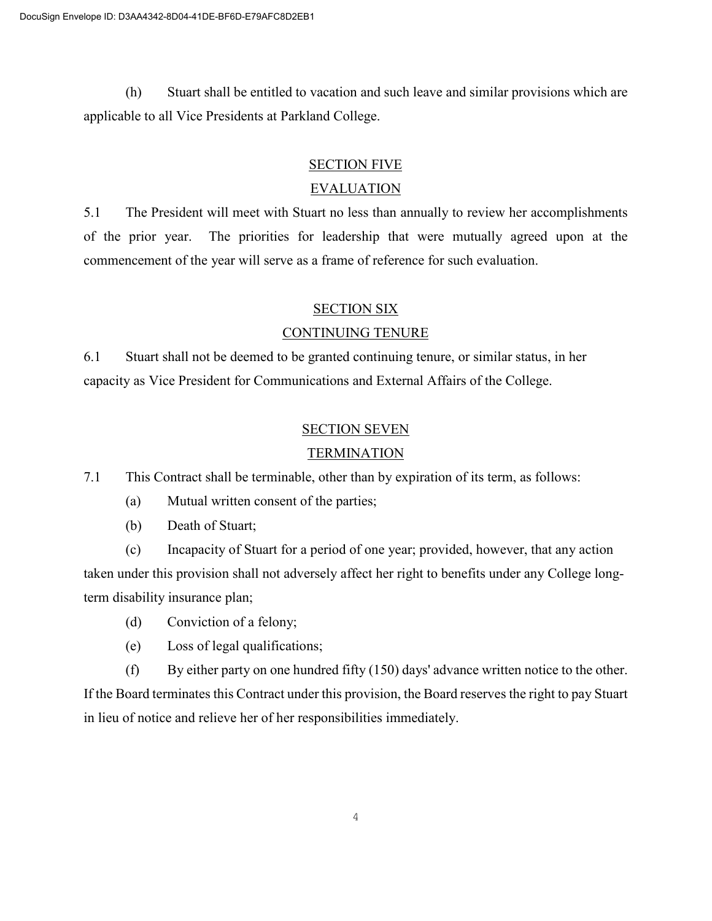(h) Stuart shall be entitled to vacation and such leave and similar provisions which are applicable to all Vice Presidents at Parkland College.

# SECTION FIVE

# EVALUATION

5.1 The President will meet with Stuart no less than annually to review her accomplishments of the prior year. The priorities for leadership that were mutually agreed upon at the commencement of the year will serve as a frame of reference for such evaluation.

# SECTION SIX

# CONTINUING TENURE

6.1 Stuart shall not be deemed to be granted continuing tenure, or similar status, in her capacity as Vice President for Communications and External Affairs of the College.

# SECTION SEVEN

# TERMINATION

7.1 This Contract shall be terminable, other than by expiration of its term, as follows:

- (a) Mutual written consent of the parties;
- (b) Death of Stuart;

(c) Incapacity of Stuart for a period of one year; provided, however, that any action taken under this provision shall not adversely affect her right to benefits under any College longterm disability insurance plan;

- (d) Conviction of a felony;
- (e) Loss of legal qualifications;
- (f) By either party on one hundred fifty  $(150)$  days' advance written notice to the other.

If the Board terminates this Contract under this provision, the Board reserves the right to pay Stuart in lieu of notice and relieve her of her responsibilities immediately.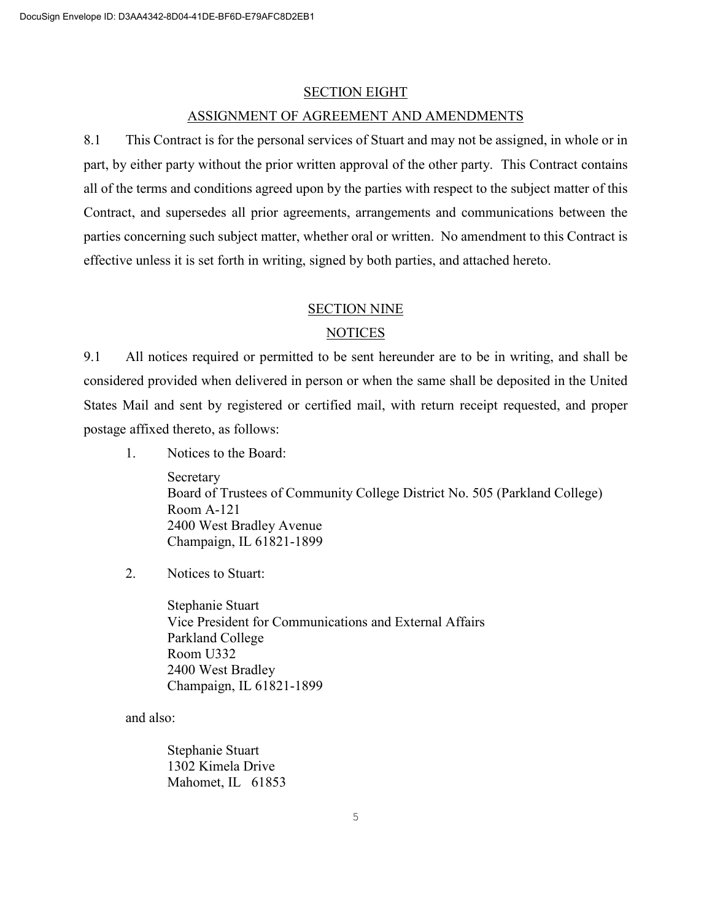#### SECTION EIGHT

#### ASSIGNMENT OF AGREEMENT AND AMENDMENTS

8.1 This Contract is for the personal services of Stuart and may not be assigned, in whole or in part, by either party without the prior written approval of the other party. This Contract contains all of the terms and conditions agreed upon by the parties with respect to the subject matter of this Contract, and supersedes all prior agreements, arrangements and communications between the parties concerning such subject matter, whether oral or written. No amendment to this Contract is effective unless it is set forth in writing, signed by both parties, and attached hereto.

#### SECTION NINE

## **NOTICES**

9.1 All notices required or permitted to be sent hereunder are to be in writing, and shall be considered provided when delivered in person or when the same shall be deposited in the United States Mail and sent by registered or certified mail, with return receipt requested, and proper postage affixed thereto, as follows:

1. Notices to the Board:

Secretary Board of Trustees of Community College District No. 505 (Parkland College) Room A-121 2400 West Bradley Avenue Champaign, IL 61821-1899

2. Notices to Stuart:

Stephanie Stuart Vice President for Communications and External Affairs Parkland College Room U332 2400 West Bradley Champaign, IL 61821-1899

and also:

Stephanie Stuart 1302 Kimela Drive Mahomet, IL 61853